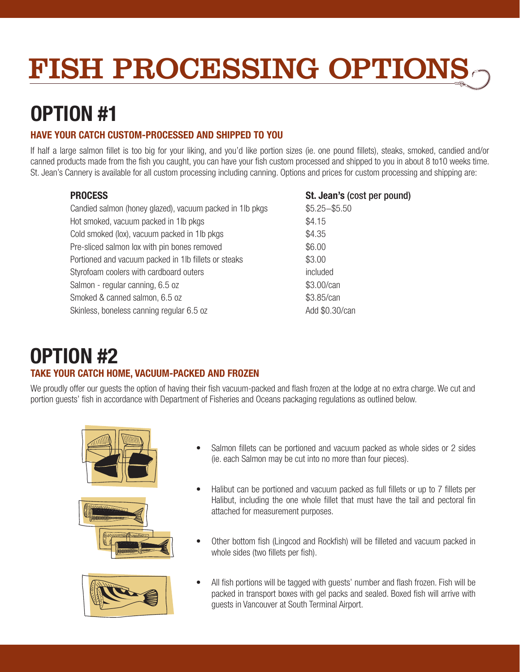# FISH PROCESSING OPTIONS

## OPTION #1

## HAVE YOUR CATCH CUSTOM-PROCESSED AND SHIPPED TO YOU

If half a large salmon fillet is too big for your liking, and you'd like portion sizes (ie. one pound fillets), steaks, smoked, candied and/or canned products made from the fish you caught, you can have your fish custom processed and shipped to you in about 8 to10 weeks time. St. Jean's Cannery is available for all custom processing including canning. Options and prices for custom processing and shipping are:

## **PROCESS**

Candied salmon (honey glazed), vacuum packed in 1lb pkgs Hot smoked, vacuum packed in 1lb pkgs Cold smoked (lox), vacuum packed in 1lb pkgs Pre-sliced salmon lox with pin bones removed Portioned and vacuum packed in 1lb fillets or steaks Styrofoam coolers with cardboard outers Salmon - regular canning, 6.5 oz Smoked & canned salmon, 6.5 oz Skinless, boneless canning regular 6.5 oz

## St. Jean's (cost per pound)

\$5.25−\$5.50 \$4.15 \$4.35 \$6.00 \$3.00 included \$3.00/can \$3.85/can Add \$0.30/can

## TAKE YOUR CATCH HOME, VACUUM-PACKED AND FROZEN OPTION #2

We proudly offer our guests the option of having their fish vacuum-packed and flash frozen at the lodge at no extra charge. We cut and portion guests' fish in accordance with Department of Fisheries and Oceans packaging regulations as outlined below.







- Salmon fillets can be portioned and vacuum packed as whole sides or 2 sides (ie. each Salmon may be cut into no more than four pieces).
- Halibut can be portioned and vacuum packed as full fillets or up to 7 fillets per Halibut, including the one whole fillet that must have the tail and pectoral fin attached for measurement purposes.
- Other bottom fish (Lingcod and Rockfish) will be filleted and vacuum packed in whole sides (two fillets per fish).
- All fish portions will be tagged with guests' number and flash frozen. Fish will be packed in transport boxes with gel packs and sealed. Boxed fish will arrive with guests in Vancouver at South Terminal Airport.